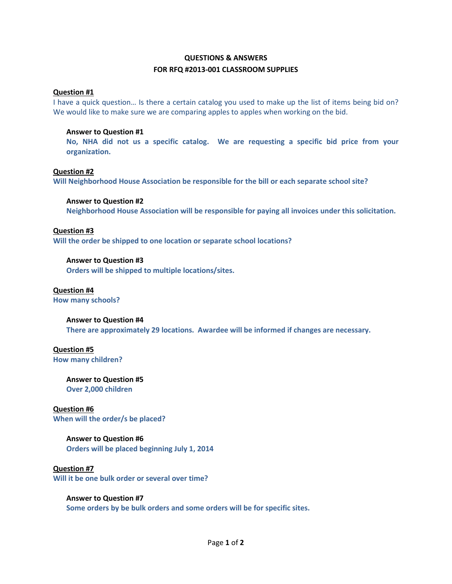# **QUESTIONS & ANSWERS FOR RFQ #2013-001 CLASSROOM SUPPLIES**

## **Question #1**

I have a quick question… Is there a certain catalog you used to make up the list of items being bid on? We would like to make sure we are comparing apples to apples when working on the bid.

## **Answer to Question #1**

**No, NHA did not us a specific catalog. We are requesting a specific bid price from your organization.**

## **Question #2**

**Will Neighborhood House Association be responsible for the bill or each separate school site?**

### **Answer to Question #2**

**Neighborhood House Association will be responsible for paying all invoices under this solicitation.**

## **Question #3**

**Will the order be shipped to one location or separate school locations?**

## **Answer to Question #3**

**Orders will be shipped to multiple locations/sites.**

# **Question #4**

**How many schools?**

### **Answer to Question #4**

**There are approximately 29 locations. Awardee will be informed if changes are necessary.**

### **Question #5 How many children?**

**Answer to Question #5 Over 2,000 children**

**Question #6 When will the order/s be placed?**

# **Answer to Question #6**

**Orders will be placed beginning July 1, 2014**

**Question #7 Will it be one bulk order or several over time?**

## **Answer to Question #7**

**Some orders by be bulk orders and some orders will be for specific sites.**